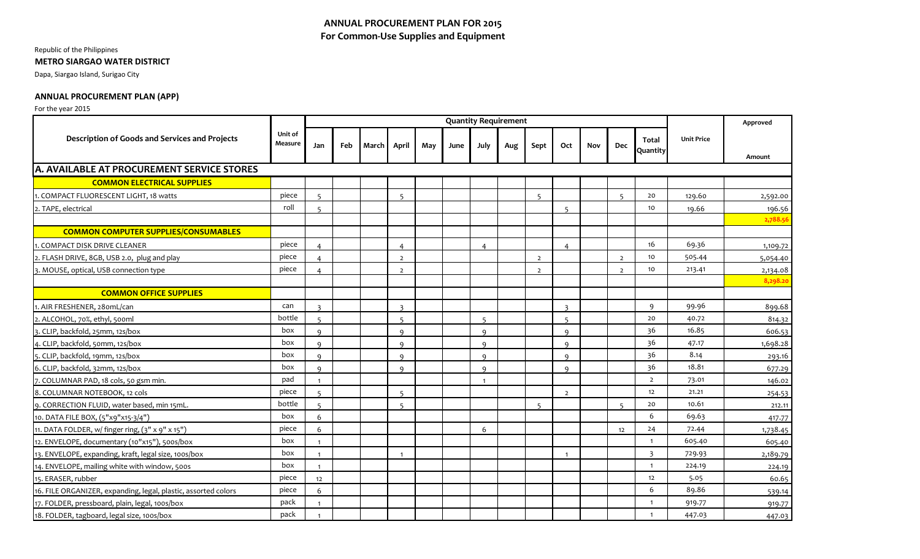# **ANNUAL PROCUREMENT PLAN FOR 2015 For Common-Use Supplies and Equipment**

### Republic of the Philippines

### **METRO SIARGAO WATER DISTRICT**

Dapa, Siargao Island, Surigao City

## **ANNUAL PROCUREMENT PLAN (APP)**

### For the year 2015

|                                                                |                    | <b>Quantity Requirement</b> |     |              |                |     |      |                |     |                |                          |            |                |                          |                   | Approved |
|----------------------------------------------------------------|--------------------|-----------------------------|-----|--------------|----------------|-----|------|----------------|-----|----------------|--------------------------|------------|----------------|--------------------------|-------------------|----------|
| <b>Description of Goods and Services and Projects</b>          | Unit of<br>Measure | Jan                         | Feb | <b>March</b> | April          | May | June | July           | Aug | Sept           | Oct                      | <b>Nov</b> | <b>Dec</b>     | <b>Total</b><br>Quantity | <b>Unit Price</b> | Amount   |
| <b>A. AVAILABLE AT PROCUREMENT SERVICE STORES</b>              |                    |                             |     |              |                |     |      |                |     |                |                          |            |                |                          |                   |          |
| <b>COMMON ELECTRICAL SUPPLIES</b>                              |                    |                             |     |              |                |     |      |                |     |                |                          |            |                |                          |                   |          |
| 1. COMPACT FLUORESCENT LIGHT, 18 watts                         | piece              | $\overline{5}$              |     |              | 5              |     |      |                |     | $5^{\circ}$    |                          |            | $\overline{5}$ | 20                       | 129.60            | 2,592.00 |
| 2. TAPE, electrical                                            | roll               | 5                           |     |              |                |     |      |                |     |                | 5                        |            |                | 10                       | 19.66             | 196.56   |
|                                                                |                    |                             |     |              |                |     |      |                |     |                |                          |            |                |                          |                   | 2,788.56 |
| <b>COMMON COMPUTER SUPPLIES/CONSUMABLES</b>                    |                    |                             |     |              |                |     |      |                |     |                |                          |            |                |                          |                   |          |
| 1. COMPACT DISK DRIVE CLEANER                                  | piece              | $\overline{4}$              |     |              | 4              |     |      | $\overline{a}$ |     |                | $\overline{4}$           |            |                | 16                       | 69.36             | 1,109.72 |
| 2. FLASH DRIVE, 8GB, USB 2.0, plug and play                    | piece              |                             |     |              | $\overline{2}$ |     |      |                |     | $\overline{2}$ |                          |            | $\overline{2}$ | 10                       | 505.44            | 5,054.40 |
| 3. MOUSE, optical, USB connection type                         | piece              | $\overline{4}$              |     |              | $\overline{2}$ |     |      |                |     | $\overline{2}$ |                          |            | $\overline{2}$ | 10                       | 213.41            | 2,134.08 |
|                                                                |                    |                             |     |              |                |     |      |                |     |                |                          |            |                |                          |                   | 8,298.20 |
| <b>COMMON OFFICE SUPPLIES</b>                                  |                    |                             |     |              |                |     |      |                |     |                |                          |            |                |                          |                   |          |
| 1. AIR FRESHENER, 28 om L/can                                  | can                | $\overline{3}$              |     |              | $\overline{3}$ |     |      |                |     |                | $\overline{\mathbf{3}}$  |            |                | 9                        | 99.96             | 899.68   |
| 2. ALCOHOL, 70%, ethyl, 500ml                                  | bottle             | $\overline{5}$              |     |              | $\overline{5}$ |     |      | $\overline{5}$ |     |                | $\overline{\phantom{a}}$ |            |                | 20                       | 40.72             | 814.32   |
| 3. CLIP, backfold, 25mm, 12s/box                               | box                | $\mathsf q$                 |     |              | $\Omega$       |     |      | $\Omega$       |     |                | $\alpha$                 |            |                | 36                       | 16.85             | 606.53   |
| 4. CLIP, backfold, 50mm, 12s/box                               | box                | $\mathsf{Q}$                |     |              | $\mathbf{Q}$   |     |      | $\Omega$       |     |                | $\alpha$                 |            |                | 36                       | 47.17             | 1,698.28 |
| 5. CLIP, backfold, 19mm, 12s/box                               | box                | $\mathsf{q}$                |     |              | $\mathbf{Q}$   |     |      | $\mathbf{Q}$   |     |                | $\alpha$                 |            |                | 36                       | 8.14              | 293.16   |
| 6. CLIP, backfold, 32mm, 12s/box                               | box                | $\mathsf{q}$                |     |              | $\mathsf q$    |     |      | $\mathsf{Q}$   |     |                | $\mathbf{Q}$             |            |                | 36                       | 18.81             | 677.29   |
| 7. COLUMNAR PAD, 18 cols, 50 gsm min.                          | pad                | $\overline{1}$              |     |              |                |     |      | $\overline{1}$ |     |                |                          |            |                | $\overline{2}$           | 73.01             | 146.02   |
| 8. COLUMNAR NOTEBOOK, 12 cols                                  | piece              | $\overline{5}$              |     |              | $\overline{5}$ |     |      |                |     |                | $\overline{2}$           |            |                | 12                       | 21.21             | 254.53   |
| 9. CORRECTION FLUID, water based, min 15mL.                    | bottle             |                             |     |              |                |     |      |                |     | $\overline{a}$ |                          |            |                | 20                       | 10.61             | 212.11   |
| 10. DATA FILE BOX, (5"x9"x15-3/4")                             | box                | 6                           |     |              |                |     |      |                |     |                |                          |            |                | 6                        | 69.63             | 417.77   |
| 11. DATA FOLDER, w/ finger ring, (3" x 9" x 15")               | piece              | 6                           |     |              |                |     |      | 6              |     |                |                          |            | 12             | 24                       | 72.44             | 1,738.45 |
| 12. ENVELOPE, documentary (10"x15"), 500s/box                  | box                | $\overline{1}$              |     |              |                |     |      |                |     |                |                          |            |                | $\mathbf{1}$             | 605.40            | 605.40   |
| 13. ENVELOPE, expanding, kraft, legal size, 100s/box           | box                | $\overline{1}$              |     |              | $\mathbf{1}$   |     |      |                |     |                | $\mathbf{1}$             |            |                | 3                        | 729.93            | 2,189.79 |
| 14. ENVELOPE, mailing white with window, 500s                  | box                | $\overline{1}$              |     |              |                |     |      |                |     |                |                          |            |                | $\mathbf{1}$             | 224.19            | 224.19   |
| 15. ERASER, rubber                                             | piece              | 12                          |     |              |                |     |      |                |     |                |                          |            |                | 12                       | 5.05              | 60.65    |
| 16. FILE ORGANIZER, expanding, legal, plastic, assorted colors | piece              | 6                           |     |              |                |     |      |                |     |                |                          |            |                | 6                        | 89.86             | 539.14   |
| 17. FOLDER, pressboard, plain, legal, 100s/box                 | pack               | $\overline{1}$              |     |              |                |     |      |                |     |                |                          |            |                | $\mathbf{1}$             | 919.77            | 919.77   |
| 18. FOLDER, tagboard, legal size, 100s/box                     | pack               | $\overline{1}$              |     |              |                |     |      |                |     |                |                          |            |                | $\mathbf{1}$             | 447.03            | 447.03   |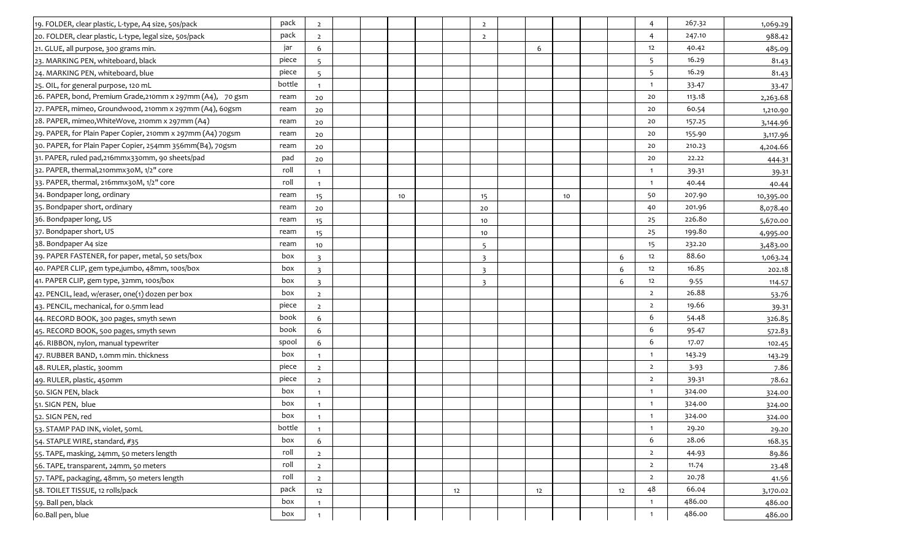| 19. FOLDER, clear plastic, L-type, A4 size, 50s/pack        | pack   | $\overline{2}$  |  |    |    | $\overline{2}$          |    |    |    | 4              | 267.32 | 1,069.29  |
|-------------------------------------------------------------|--------|-----------------|--|----|----|-------------------------|----|----|----|----------------|--------|-----------|
| 20. FOLDER, clear plastic, L-type, legal size, 50s/pack     | pack   | $\overline{2}$  |  |    |    | $\overline{2}$          |    |    |    | 4              | 247.10 | 988.42    |
| 21. GLUE, all purpose, 300 grams min.                       | jar    | 6               |  |    |    |                         | 6  |    |    | 12             | 40.42  | 485.09    |
| 23. MARKING PEN, whiteboard, black                          | piece  | $\overline{5}$  |  |    |    |                         |    |    |    | 5              | 16.29  | 81.43     |
| 24. MARKING PEN, whiteboard, blue                           | piece  | $\overline{5}$  |  |    |    |                         |    |    |    | 5              | 16.29  | 81.43     |
| 25. OIL, for general purpose, 120 mL                        | bottle | $\overline{1}$  |  |    |    |                         |    |    |    | $\mathbf{1}$   | 33.47  | 33.47     |
| 26. PAPER, bond, Premium Grade, 210mm x 297mm (A4), 70 gsm  | ream   | 20              |  |    |    |                         |    |    |    | 20             | 113.18 | 2,263.68  |
| 27. PAPER, mimeo, Groundwood, 210mm x 297mm (A4), 60gsm     | ream   | 20              |  |    |    |                         |    |    |    | 20             | 60.54  | 1,210.90  |
| 28. PAPER, mimeo, White Wove, 210mm x 297mm (A4)            | ream   | 20              |  |    |    |                         |    |    |    | 20             | 157.25 | 3,144.96  |
| 29. PAPER, for Plain Paper Copier, 210mm x 297mm (A4) 70gsm | ream   | 20              |  |    |    |                         |    |    |    | 20             | 155.90 | 3,117.96  |
| 30. PAPER, for Plain Paper Copier, 254mm 356mm(B4), 70gsm   | ream   | 20              |  |    |    |                         |    |    |    | 20             | 210.23 | 4,204.66  |
| 31. PAPER, ruled pad, 216mmx330mm, 90 sheets/pad            | pad    | 20              |  |    |    |                         |    |    |    | 20             | 22.22  | 444.31    |
| 32. PAPER, thermal, 210mmx30M, 1/2" core                    | roll   | $\overline{1}$  |  |    |    |                         |    |    |    | $\overline{1}$ | 39.31  | 39.31     |
| 33. PAPER, thermal, 216mmx30M, 1/2" core                    | roll   | $\mathbf{1}$    |  |    |    |                         |    |    |    | $\mathbf{1}$   | 40.44  | 40.44     |
| 34. Bondpaper long, ordinary                                | ream   | 15              |  | 10 |    | 15                      |    | 10 |    | 50             | 207.90 | 10,395.00 |
| 35. Bondpaper short, ordinary                               | ream   | 20              |  |    |    | 20                      |    |    |    | 40             | 201.96 | 8,078.40  |
| 36. Bondpaper long, US                                      | ream   | 15              |  |    |    | 10                      |    |    |    | 25             | 226.80 | 5,670.00  |
| 37. Bondpaper short, US                                     | ream   | 15              |  |    |    | 10                      |    |    |    | 25             | 199.80 | 4,995.00  |
| 38. Bondpaper A4 size                                       | ream   | 10              |  |    |    | $\overline{5}$          |    |    |    | 15             | 232.20 | 3,483.00  |
| 39. PAPER FASTENER, for paper, metal, 50 sets/box           | box    | $\overline{3}$  |  |    |    | $\overline{\mathbf{z}}$ |    |    | 6  | 12             | 88.60  | 1,063.24  |
| 40. PAPER CLIP, gem type,jumbo, 48mm, 100s/box              | box    | $\overline{3}$  |  |    |    | $\overline{\mathbf{3}}$ |    |    | 6  | 12             | 16.85  | 202.18    |
| 41. PAPER CLIP, gem type, 32mm, 100s/box                    | box    | $\overline{3}$  |  |    |    | $\overline{\mathbf{3}}$ |    |    | 6  | 12             | 9.55   | 114.57    |
| 42. PENCIL, lead, w/eraser, one(1) dozen per box            | box    | $\overline{2}$  |  |    |    |                         |    |    |    | $\overline{2}$ | 26.88  | 53.76     |
| 43. PENCIL, mechanical, for 0.5mm lead                      | piece  | $\overline{2}$  |  |    |    |                         |    |    |    | $\overline{2}$ | 19.66  | 39.31     |
| 44. RECORD BOOK, 300 pages, smyth sewn                      | book   | 6               |  |    |    |                         |    |    |    | 6              | 54.48  | 326.85    |
| 45. RECORD BOOK, 500 pages, smyth sewn                      | book   | 6               |  |    |    |                         |    |    |    | 6              | 95.47  | 572.83    |
| 46. RIBBON, nylon, manual typewriter                        | spool  | 6               |  |    |    |                         |    |    |    | 6              | 17.07  | 102.45    |
| 47. RUBBER BAND, 1.0mm min. thickness                       | box    | $\overline{1}$  |  |    |    |                         |    |    |    | $\mathbf{1}$   | 143.29 | 143.29    |
| 48. RULER, plastic, 300mm                                   | piece  | $\overline{2}$  |  |    |    |                         |    |    |    | $\overline{2}$ | 3.93   | 7.86      |
| 49. RULER, plastic, 450mm                                   | piece  | $\overline{2}$  |  |    |    |                         |    |    |    | $\overline{2}$ | 39.31  | 78.62     |
| 50. SIGN PEN, black                                         | box    | $\mathbf{1}$    |  |    |    |                         |    |    |    | $\mathbf{1}$   | 324.00 | 324.00    |
| 51. SIGN PEN, blue                                          | box    | $\overline{1}$  |  |    |    |                         |    |    |    | -1             | 324.00 | 324.00    |
| 52. SIGN PEN, red                                           | box    | $\overline{1}$  |  |    |    |                         |    |    |    | $\overline{1}$ | 324.00 | 324.00    |
| 53. STAMP PAD INK, violet, 50mL                             | bottle | $\mathbf{1}$    |  |    |    |                         |    |    |    | $\overline{1}$ | 29.20  | 29.20     |
| 54. STAPLE WIRE, standard, #35                              | box    | $6\phantom{.}6$ |  |    |    |                         |    |    |    | 6              | 28.06  | 168.35    |
| 55. TAPE, masking, 24mm, 50 meters length                   | roll   | $\overline{2}$  |  |    |    |                         |    |    |    | $\overline{2}$ | 44.93  | 89.86     |
| 56. TAPE, transparent, 24mm, 50 meters                      | roll   | $\overline{2}$  |  |    |    |                         |    |    |    | $\overline{2}$ | 11.74  | 23.48     |
| 57. TAPE, packaging, 48mm, 50 meters length                 | roll   | $\overline{2}$  |  |    |    |                         |    |    |    | $\overline{2}$ | 20.78  | 41.56     |
| 58. TOILET TISSUE, 12 rolls/pack                            | pack   | 12              |  |    | 12 |                         | 12 |    | 12 | 48             | 66.04  | 3,170.02  |
| 59. Ball pen, black                                         | box    | $\overline{1}$  |  |    |    |                         |    |    |    | $\overline{1}$ | 486.00 | 486.00    |
| 60.Ball pen, blue                                           | box    | $\mathbf{1}$    |  |    |    |                         |    |    |    | $\mathbf{1}$   | 486.00 | 486.00    |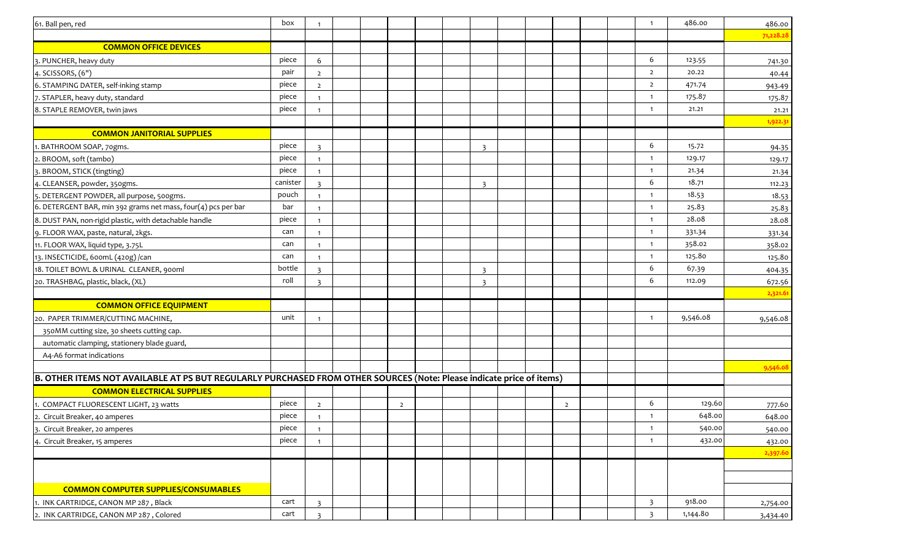| 61. Ball pen, red                                                                                                    | box      | $\mathbf{1}$            |  |                |  |                         |  |                |  | $\overline{\mathbf{1}}$ | 486.00   | 486.00    |
|----------------------------------------------------------------------------------------------------------------------|----------|-------------------------|--|----------------|--|-------------------------|--|----------------|--|-------------------------|----------|-----------|
|                                                                                                                      |          |                         |  |                |  |                         |  |                |  |                         |          | 71,228.28 |
| <b>COMMON OFFICE DEVICES</b>                                                                                         |          |                         |  |                |  |                         |  |                |  |                         |          |           |
| 3. PUNCHER, heavy duty                                                                                               | piece    | 6                       |  |                |  |                         |  |                |  | 6                       | 123.55   | 741.30    |
| 4. SCISSORS, (6")                                                                                                    | pair     | $\overline{2}$          |  |                |  |                         |  |                |  | $\overline{2}$          | 20.22    | 40.44     |
| 6. STAMPING DATER, self-inking stamp                                                                                 | piece    | $\overline{2}$          |  |                |  |                         |  |                |  | $\overline{2}$          | 471.74   | 943.49    |
| 7. STAPLER, heavy duty, standard                                                                                     | piece    | $\mathbf{1}$            |  |                |  |                         |  |                |  |                         | 175.87   | 175.87    |
| 8. STAPLE REMOVER, twin jaws                                                                                         | piece    | $\mathbf{1}$            |  |                |  |                         |  |                |  | $\overline{1}$          | 21.21    | 21.21     |
|                                                                                                                      |          |                         |  |                |  |                         |  |                |  |                         |          | 1,922.31  |
| <b>COMMON JANITORIAL SUPPLIES</b>                                                                                    |          |                         |  |                |  |                         |  |                |  |                         |          |           |
| 1. BATHROOM SOAP, 70gms.                                                                                             | piece    | $\mathbf{R}$            |  |                |  | $\overline{\mathbf{3}}$ |  |                |  | 6                       | 15.72    | 94.35     |
| 2. BROOM, soft (tambo)                                                                                               | piece    | $\mathbf{1}$            |  |                |  |                         |  |                |  | $\overline{1}$          | 129.17   | 129.17    |
| 3. BROOM, STICK (tingting)                                                                                           | piece    | $\mathbf{1}$            |  |                |  |                         |  |                |  |                         | 21.34    | 21.34     |
| 4. CLEANSER, powder, 350gms.                                                                                         | canister | $\overline{3}$          |  |                |  | 3                       |  |                |  | 6                       | 18.71    | 112.23    |
| 5. DETERGENT POWDER, all purpose, 500gms.                                                                            | pouch    | $\mathbf{1}$            |  |                |  |                         |  |                |  | - 1                     | 18.53    | 18.53     |
| 6. DETERGENT BAR, min 392 grams net mass, four(4) pcs per bar                                                        | bar      | $\mathbf{1}$            |  |                |  |                         |  |                |  | $\overline{1}$          | 25.83    | 25.83     |
| 8. DUST PAN, non-rigid plastic, with detachable handle                                                               | piece    | $\mathbf{1}$            |  |                |  |                         |  |                |  | - 1                     | 28.08    | 28.08     |
| 9. FLOOR WAX, paste, natural, 2kgs.                                                                                  | can      | $\mathbf{1}$            |  |                |  |                         |  |                |  |                         | 331.34   | 331.34    |
| 11. FLOOR WAX, liquid type, 3.75L                                                                                    | can      | $\mathbf{1}$            |  |                |  |                         |  |                |  | -1                      | 358.02   | 358.02    |
| 13. INSECTICIDE, 600mL (420g) /can                                                                                   | can      | $\mathbf{1}$            |  |                |  |                         |  |                |  | $\overline{1}$          | 125.80   | 125.80    |
| 18. TOILET BOWL & URINAL CLEANER, 900ml                                                                              | bottle   | $\overline{\mathbf{3}}$ |  |                |  | $\overline{3}$          |  |                |  | 6                       | 67.39    | 404.35    |
| 20. TRASHBAG, plastic, black, (XL)                                                                                   | roll     | $\overline{3}$          |  |                |  | $\overline{3}$          |  |                |  | 6                       | 112.09   | 672.56    |
|                                                                                                                      |          |                         |  |                |  |                         |  |                |  |                         |          | 2,321.61  |
| <b>COMMON OFFICE EQUIPMENT</b>                                                                                       |          |                         |  |                |  |                         |  |                |  |                         |          |           |
| 20. PAPER TRIMMER/CUTTING MACHINE,                                                                                   | unit     | $\mathbf{1}$            |  |                |  |                         |  |                |  | $\overline{1}$          | 9,546.08 | 9,546.08  |
| 350MM cutting size, 30 sheets cutting cap.                                                                           |          |                         |  |                |  |                         |  |                |  |                         |          |           |
| automatic clamping, stationery blade guard,                                                                          |          |                         |  |                |  |                         |  |                |  |                         |          |           |
| A4-A6 format indications                                                                                             |          |                         |  |                |  |                         |  |                |  |                         |          |           |
|                                                                                                                      |          |                         |  |                |  |                         |  |                |  |                         |          | 9,546.08  |
| B. OTHER ITEMS NOT AVAILABLE AT PS BUT REGULARLY PURCHASED FROM OTHER SOURCES (Note: Please indicate price of items) |          |                         |  |                |  |                         |  |                |  |                         |          |           |
| <b>COMMON ELECTRICAL SUPPLIES</b>                                                                                    |          |                         |  |                |  |                         |  |                |  |                         |          |           |
| 1. COMPACT FLUORESCENT LIGHT, 23 watts                                                                               | piece    | $\overline{2}$          |  | $\overline{2}$ |  |                         |  | $\overline{2}$ |  | 6                       | 129.60   | 777.60    |
| 2. Circuit Breaker, 40 amperes                                                                                       | piece    | $\mathbf{1}$            |  |                |  |                         |  |                |  |                         | 648.00   | 648.00    |
| 3. Circuit Breaker, 20 amperes                                                                                       | piece    | $\mathbf{1}$            |  |                |  |                         |  |                |  |                         | 540.00   | 540.00    |
| 4. Circuit Breaker, 15 amperes                                                                                       | piece    | $\mathbf{1}$            |  |                |  |                         |  |                |  |                         | 432.00   | 432.00    |
|                                                                                                                      |          |                         |  |                |  |                         |  |                |  |                         |          | 2,397.60  |
|                                                                                                                      |          |                         |  |                |  |                         |  |                |  |                         |          |           |
|                                                                                                                      |          |                         |  |                |  |                         |  |                |  |                         |          |           |
| <b>COMMON COMPUTER SUPPLIES/CONSUMABLES</b>                                                                          |          |                         |  |                |  |                         |  |                |  |                         |          |           |
| 1. INK CARTRIDGE, CANON MP 287, Black                                                                                | cart     | $\overline{3}$          |  |                |  |                         |  |                |  | $\overline{\mathbf{3}}$ | 918.00   | 2,754.00  |
| 2. INK CARTRIDGE, CANON MP 287, Colored                                                                              | cart     | $\overline{3}$          |  |                |  |                         |  |                |  | $\overline{\mathbf{3}}$ | 1,144.80 | 3,434.40  |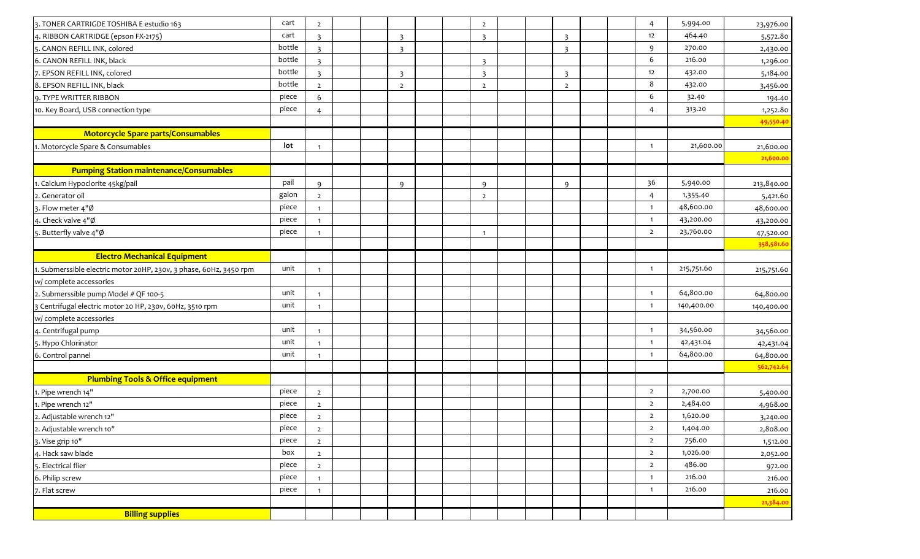| 3. TONER CARTRIGDE TOSHIBA E estudio 163                           | cart   | $\overline{2}$          |  |                |  | $\overline{2}$          |  |                         |  | $\overline{4}$          | 5,994.00   | 23,976.00  |
|--------------------------------------------------------------------|--------|-------------------------|--|----------------|--|-------------------------|--|-------------------------|--|-------------------------|------------|------------|
| 4. RIBBON CARTRIDGE (epson FX-2175)                                | cart   | $\overline{3}$          |  | $\overline{3}$ |  | $\overline{\mathbf{3}}$ |  | $\mathbf{B}$            |  | 12                      | 464.40     | 5,572.80   |
| 5. CANON REFILL INK, colored                                       | bottle | $\overline{\mathbf{3}}$ |  | 3              |  |                         |  | $\overline{\mathbf{3}}$ |  | 9                       | 270.00     | 2,430.00   |
| 6. CANON REFILL INK, black                                         | bottle | $\overline{\mathbf{3}}$ |  |                |  | $\overline{\mathbf{z}}$ |  |                         |  | 6                       | 216.00     | 1,296.00   |
| 7. EPSON REFILL INK, colored                                       | bottle | $\mathbf{R}$            |  | $\overline{3}$ |  | $\overline{\mathbf{3}}$ |  | $\overline{\mathbf{z}}$ |  | 12                      | 432.00     | 5,184.00   |
| 8. EPSON REFILL INK, black                                         | bottle | $\overline{2}$          |  | $\overline{2}$ |  | $\overline{2}$          |  | $\overline{2}$          |  | 8                       | 432.00     | 3,456.00   |
| 9. TYPE WRITTER RIBBON                                             | piece  | 6                       |  |                |  |                         |  |                         |  | 6                       | 32.40      | 194.40     |
| 10. Key Board, USB connection type                                 | piece  | $\overline{4}$          |  |                |  |                         |  |                         |  | 4                       | 313.20     | 1,252.80   |
|                                                                    |        |                         |  |                |  |                         |  |                         |  |                         |            | 49,550.40  |
| <b>Motorcycle Spare parts/Consumables</b>                          |        |                         |  |                |  |                         |  |                         |  |                         |            |            |
| 1. Motorcycle Spare & Consumables                                  | lot    | -1                      |  |                |  |                         |  |                         |  | $\overline{1}$          | 21,600.00  | 21,600.00  |
|                                                                    |        |                         |  |                |  |                         |  |                         |  |                         |            | 21,600.00  |
| <b>Pumping Station maintenance/Consumables</b>                     |        |                         |  |                |  |                         |  |                         |  |                         |            |            |
| 1. Calcium Hypoclorite 45kg/pail                                   | pail   | $\mathbf{q}$            |  | $\mathsf{q}$   |  | $\mathsf{Q}$            |  | $\mathsf{q}$            |  | 36                      | 5,940.00   | 213,840.00 |
| 2. Generator oil                                                   | galon  | $\overline{2}$          |  |                |  | $\overline{2}$          |  |                         |  | 4                       | 1,355.40   | 5,421.60   |
| 3. Flow meter 4"Ø                                                  | piece  | $\mathbf{1}$            |  |                |  |                         |  |                         |  | $\overline{1}$          | 48,600.00  | 48,600.00  |
| 4. Check valve 4"Ø                                                 | piece  | $\overline{1}$          |  |                |  |                         |  |                         |  | $\overline{1}$          | 43,200.00  | 43,200.00  |
| 5. Butterfly valve 4"Ø                                             | piece  | $\mathbf{1}$            |  |                |  | $\mathbf{1}$            |  |                         |  | $\overline{2}$          | 23,760.00  | 47,520.00  |
|                                                                    |        |                         |  |                |  |                         |  |                         |  |                         |            | 358,581.60 |
| <b>Electro Mechanical Equipment</b>                                |        |                         |  |                |  |                         |  |                         |  |                         |            |            |
| 1. Submerssible electric motor 20HP, 230v, 3 phase, 60Hz, 3450 rpm | unit   | $\overline{1}$          |  |                |  |                         |  |                         |  | $\overline{1}$          | 215,751.60 | 215,751.60 |
| w/ complete accessories                                            |        |                         |  |                |  |                         |  |                         |  |                         |            |            |
| 2. Submerssible pump Model # QF 100-5                              | unit   | $\overline{1}$          |  |                |  |                         |  |                         |  | $\mathbf{1}$            | 64,800.00  | 64,800.00  |
| 3 Centrifugal electric motor 20 HP, 230v, 60Hz, 3510 rpm           | unit   | -1                      |  |                |  |                         |  |                         |  | $\overline{1}$          | 140,400.00 | 140,400.00 |
| w/ complete accessories                                            |        |                         |  |                |  |                         |  |                         |  |                         |            |            |
| 4. Centrifugal pump                                                | unit   | $\overline{1}$          |  |                |  |                         |  |                         |  | $\overline{1}$          | 34,560.00  | 34,560.00  |
| 5. Hypo Chlorinator                                                | unit   | $\overline{1}$          |  |                |  |                         |  |                         |  | $\overline{\mathbf{1}}$ | 42,431.04  | 42,431.04  |
| 6. Control pannel                                                  | unit   | $\mathbf{1}$            |  |                |  |                         |  |                         |  | $\overline{1}$          | 64,800.00  | 64,800.00  |
|                                                                    |        |                         |  |                |  |                         |  |                         |  |                         |            | 562,742.64 |
| <b>Plumbing Tools &amp; Office equipment</b>                       |        |                         |  |                |  |                         |  |                         |  |                         |            |            |
| 1. Pipe wrench 14"                                                 | piece  | $\overline{2}$          |  |                |  |                         |  |                         |  | $\overline{2}$          | 2,700.00   | 5,400.00   |
| 1. Pipe wrench 12"                                                 | piece  | $\overline{2}$          |  |                |  |                         |  |                         |  | $\overline{2}$          | 2,484.00   | 4,968.00   |
| 2. Adjustable wrench 12"                                           | piece  | $\overline{2}$          |  |                |  |                         |  |                         |  | $\overline{2}$          | 1,620.00   | 3,240.00   |
| 2. Adjustable wrench 10"                                           | piece  | $\overline{2}$          |  |                |  |                         |  |                         |  | $\overline{2}$          | 1,404.00   | 2,808.00   |
| 3. Vise grip 10"                                                   | piece  | $\overline{2}$          |  |                |  |                         |  |                         |  | $\overline{2}$          | 756.00     | 1,512.00   |
| 4. Hack saw blade                                                  | box    | $\overline{2}$          |  |                |  |                         |  |                         |  | $\overline{2}$          | 1,026.00   | 2,052.00   |
| 5. Electrical flier                                                | piece  | $\overline{2}$          |  |                |  |                         |  |                         |  | $\overline{2}$          | 486.00     | 972.00     |
| 6. Philip screw                                                    | piece  | $\overline{1}$          |  |                |  |                         |  |                         |  | $\mathbf{1}$            | 216.00     | 216.00     |
| 7. Flat screw                                                      | piece  | $\overline{1}$          |  |                |  |                         |  |                         |  | $\overline{1}$          | 216.00     | 216.00     |
|                                                                    |        |                         |  |                |  |                         |  |                         |  |                         |            | 21,384.00  |
| <b>Billing supplies</b>                                            |        |                         |  |                |  |                         |  |                         |  |                         |            |            |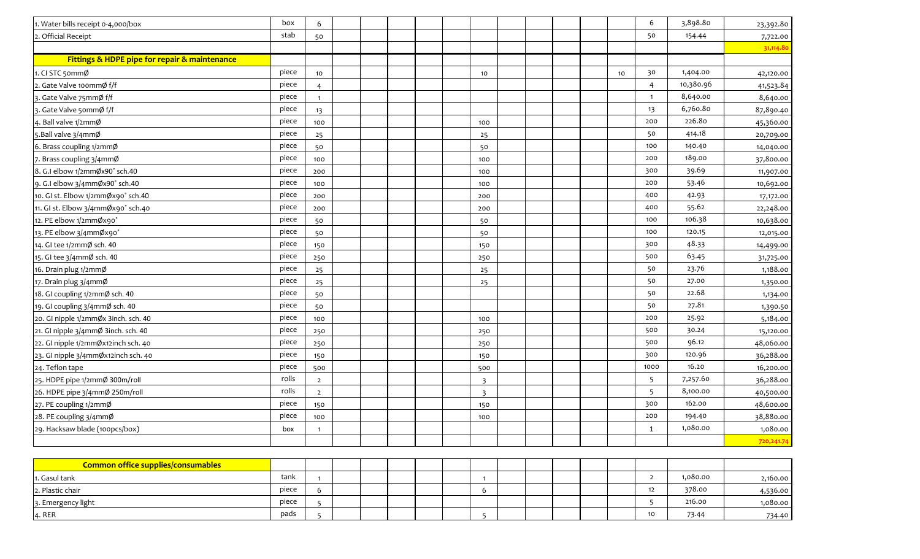| 1. Water bills receipt 0-4,000/box            | box   | 6               |  |  |                |  |  |    | 6               | 3,898.80  | 23,392.80  |
|-----------------------------------------------|-------|-----------------|--|--|----------------|--|--|----|-----------------|-----------|------------|
| 2. Official Receipt                           | stab  | 50              |  |  |                |  |  |    | 50              | 154.44    | 7,722.00   |
|                                               |       |                 |  |  |                |  |  |    |                 |           | 31,114.80  |
| Fittings & HDPE pipe for repair & maintenance |       |                 |  |  |                |  |  |    |                 |           |            |
| 1. CI STC 50mmØ                               | piece | 10              |  |  | 10             |  |  | 10 | 30              | 1,404.00  | 42,120.00  |
| 2. Gate Valve 100mmØ f/f                      | piece | $\overline{4}$  |  |  |                |  |  |    | 4               | 10,380.96 | 41,523.84  |
| 3. Gate Valve 75mmØ f/f                       | piece | $\mathbf{1}$    |  |  |                |  |  |    | $\mathbf{1}$    | 8,640.00  | 8,640.00   |
| 3. Gate Valve 50mmØ f/f                       | piece | 13              |  |  |                |  |  |    | 13              | 6,760.80  | 87,890.40  |
| 4. Ball valve 1/2mmØ                          | piece | 100             |  |  | 100            |  |  |    | 200             | 226.80    | 45,360.00  |
| 5. Ball valve 3/4mmØ                          | piece | 25              |  |  | 25             |  |  |    | 50              | 414.18    | 20,709.00  |
| 6. Brass coupling 1/2mmØ                      | piece | 50              |  |  | 50             |  |  |    | 100             | 140.40    | 14,040.00  |
| 7. Brass coupling 3/4mmØ                      | piece | 100             |  |  | 100            |  |  |    | 200             | 189.00    | 37,800.00  |
| 8. G.I elbow 1/2mmØx90° sch.40                | piece | 200             |  |  | 100            |  |  |    | 300             | 39.69     | 11,907.00  |
| 9. G.I elbow 3/4mmØx90° sch.40                | piece | 100             |  |  | 100            |  |  |    | 200             | 53.46     | 10,692.00  |
| 10. GI st. Elbow 1/2mmØx90° sch.40            | piece | 200             |  |  | 200            |  |  |    | 400             | 42.93     | 17,172.00  |
| 11. GI st. Elbow 3/4mmØx90° sch.40            | piece | 200             |  |  | 200            |  |  |    | 400             | 55.62     | 22,248.00  |
| 12. PE elbow 1/2mmØx90°                       | piece | 50              |  |  | 50             |  |  |    | 100             | 106.38    | 10,638.00  |
| 13. PE elbow 3/4mmØx90°                       | piece | 50              |  |  | 50             |  |  |    | 100             | 120.15    | 12,015.00  |
| 14. GI tee 1/2mmØ sch. 40                     | piece | 150             |  |  | 150            |  |  |    | 300             | 48.33     | 14,499.00  |
| 15. GI tee 3/4mmØ sch. 40                     | piece | 250             |  |  | 250            |  |  |    | 500             | 63.45     | 31,725.00  |
| 16. Drain plug 1/2mmØ                         | piece | 25              |  |  | 25             |  |  |    | 50              | 23.76     | 1,188.00   |
| 17. Drain plug 3/4mmØ                         | piece | 25              |  |  | 25             |  |  |    | 50              | 27.00     | 1,350.00   |
| 18. GI coupling 1/2mmØ sch. 40                | piece | 50              |  |  |                |  |  |    | 50              | 22.68     | 1,134.00   |
| 19. GI coupling 3/4mmØ sch. 40                | piece | 50              |  |  |                |  |  |    | 50              | 27.81     | 1,390.50   |
| 20. GI nipple 1/2mmØx 3inch. sch. 40          | piece | 100             |  |  | 100            |  |  |    | 200             | 25.92     | 5,184.00   |
| 21. GI nipple 3/4mmØ 3inch. sch. 40           | piece | 250             |  |  | 250            |  |  |    | 500             | 30.24     | 15,120.00  |
| 22. GI nipple 1/2mmØx12inch sch. 40           | piece | 250             |  |  | 250            |  |  |    | 500             | 96.12     | 48,060.00  |
| 23. GI nipple 3/4mmØx12inch sch. 40           | piece | 150             |  |  | 150            |  |  |    | 300             | 120.96    | 36,288.00  |
| 24. Teflon tape                               | piece | 500             |  |  | 500            |  |  |    | 1000            | 16.20     | 16,200.00  |
| 25. HDPE pipe 1/2mmØ 300m/roll                | rolls | $\overline{2}$  |  |  | $\overline{3}$ |  |  |    | 5               | 7,257.60  | 36,288.00  |
| 26. HDPE pipe 3/4mmØ 250m/roll                | rolls | $\overline{2}$  |  |  | $\overline{3}$ |  |  |    | -5              | 8,100.00  | 40,500.00  |
| 27. PE coupling 1/2mmØ                        | piece | 150             |  |  | 150            |  |  |    | 300             | 162.00    | 48,600.00  |
| 28. PE coupling 3/4mmØ                        | piece | 100             |  |  | 100            |  |  |    | 200             | 194.40    | 38,880.00  |
| 29. Hacksaw blade (100pcs/box)                | box   |                 |  |  |                |  |  |    | 1               | 1,080.00  | 1,080.00   |
|                                               |       |                 |  |  |                |  |  |    |                 |           | 720,241.74 |
|                                               |       |                 |  |  |                |  |  |    |                 |           |            |
| Common office supplies/consumables            |       |                 |  |  |                |  |  |    |                 |           |            |
| 1. Gasul tank                                 | tank  | $\mathbf{1}$    |  |  | $\overline{1}$ |  |  |    | $\overline{2}$  | 1,080.00  | 2,160.00   |
| 2. Plastic chair                              | piece | $6\phantom{.}6$ |  |  | 6              |  |  |    | 12              | 378.00    | 4,536.00   |
| 3. Emergency light                            | piece | 5               |  |  |                |  |  |    | 5               | 216.00    | 1,080.00   |
| 4. RER                                        | pads  | $\overline{5}$  |  |  | 5              |  |  |    | 10 <sub>1</sub> | 73.44     | 734.40     |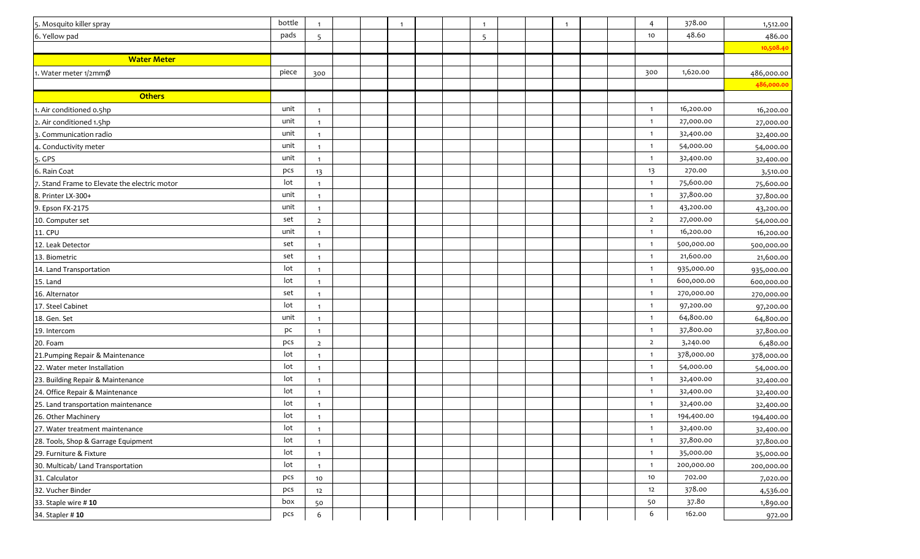| 5. Mosquito killer spray                     | bottle | $\mathbf{1}$    |  | $\overline{1}$ |  | $\mathbf{1}$ |  | $\overline{1}$ |  | 4              | 378.00     | 1,512.00   |
|----------------------------------------------|--------|-----------------|--|----------------|--|--------------|--|----------------|--|----------------|------------|------------|
| 6. Yellow pad                                | pads   | 5               |  |                |  | -5           |  |                |  | 10             | 48.60      | 486.00     |
|                                              |        |                 |  |                |  |              |  |                |  |                |            | 10,508.40  |
| <b>Water Meter</b>                           |        |                 |  |                |  |              |  |                |  |                |            |            |
| 1. Water meter 1/2mmØ                        | piece  | 300             |  |                |  |              |  |                |  | 300            | 1,620.00   | 486,000.00 |
|                                              |        |                 |  |                |  |              |  |                |  |                |            | 486,000.00 |
| <b>Others</b>                                |        |                 |  |                |  |              |  |                |  |                |            |            |
| 1. Air conditioned 0.5hp                     | unit   | $\mathbf{1}$    |  |                |  |              |  |                |  | $\overline{1}$ | 16,200.00  | 16,200.00  |
| 2. Air conditioned 1.5hp                     | unit   | $\mathbf{1}$    |  |                |  |              |  |                |  | $\mathbf{1}$   | 27,000.00  | 27,000.00  |
| 3. Communication radio                       | unit   | $\mathbf{1}$    |  |                |  |              |  |                |  | $\mathbf{1}$   | 32,400.00  | 32,400.00  |
| 4. Conductivity meter                        | unit   |                 |  |                |  |              |  |                |  | $\mathbf{1}$   | 54,000.00  | 54,000.00  |
| 5. GPS                                       | unit   | $\mathbf{1}$    |  |                |  |              |  |                |  | $\overline{1}$ | 32,400.00  | 32,400.00  |
| 6. Rain Coat                                 | pcs    | 13              |  |                |  |              |  |                |  | 13             | 270.00     | 3,510.00   |
| 7. Stand Frame to Elevate the electric motor | lot    | $\mathbf{1}$    |  |                |  |              |  |                |  | $\mathbf{1}$   | 75,600.00  | 75,600.00  |
| 8. Printer LX-300+                           | unit   | $\overline{1}$  |  |                |  |              |  |                |  | $\mathbf{1}$   | 37,800.00  | 37,800.00  |
| 9. Epson FX-2175                             | unit   | $\mathbf{1}$    |  |                |  |              |  |                |  | $\mathbf{1}$   | 43,200.00  | 43,200.00  |
| 10. Computer set                             | set    | $\overline{2}$  |  |                |  |              |  |                |  | $\overline{2}$ | 27,000.00  | 54,000.00  |
| <b>11. CPU</b>                               | unit   | $\mathbf{1}$    |  |                |  |              |  |                |  | $\mathbf{1}$   | 16,200.00  | 16,200.00  |
| 12. Leak Detector                            | set    | $\mathbf{1}$    |  |                |  |              |  |                |  | $\mathbf{1}$   | 500,000.00 | 500,000.00 |
| 13. Biometric                                | set    | $\overline{1}$  |  |                |  |              |  |                |  | $\mathbf{1}$   | 21,600.00  | 21,600.00  |
| 14. Land Transportation                      | lot    | $\overline{1}$  |  |                |  |              |  |                |  | $\overline{1}$ | 935,000.00 | 935,000.00 |
| 15. Land                                     | lot    | $\mathbf{1}$    |  |                |  |              |  |                |  | $\mathbf{1}$   | 600,000.00 | 600,000.00 |
| 16. Alternator                               | set    | $\mathbf{1}$    |  |                |  |              |  |                |  | $\mathbf{1}$   | 270,000.00 | 270,000.00 |
| 17. Steel Cabinet                            | lot    |                 |  |                |  |              |  |                |  | $\mathbf{1}$   | 97,200.00  | 97,200.00  |
| 18. Gen. Set                                 | unit   | $\mathbf{1}$    |  |                |  |              |  |                |  | $\mathbf{1}$   | 64,800.00  | 64,800.00  |
| 19. Intercom                                 | pc     | $\mathbf{1}$    |  |                |  |              |  |                |  | $\mathbf{1}$   | 37,800.00  | 37,800.00  |
| 20. Foam                                     | pcs    | $\overline{2}$  |  |                |  |              |  |                |  | $\overline{2}$ | 3,240.00   | 6,480.00   |
| 21. Pumping Repair & Maintenance             | lot    | $\overline{1}$  |  |                |  |              |  |                |  | $\mathbf{1}$   | 378,000.00 | 378,000.00 |
| 22. Water meter Installation                 | lot    | $\overline{1}$  |  |                |  |              |  |                |  | $\mathbf{1}$   | 54,000.00  | 54,000.00  |
| 23. Building Repair & Maintenance            | lot    | $\overline{1}$  |  |                |  |              |  |                |  | $\mathbf{1}$   | 32,400.00  | 32,400.00  |
| 24. Office Repair & Maintenance              | lot    | $\mathbf 1$     |  |                |  |              |  |                |  | $\mathbf{1}$   | 32,400.00  | 32,400.00  |
| 25. Land transportation maintenance          | lot    | $\overline{1}$  |  |                |  |              |  |                |  | $\overline{1}$ | 32,400.00  | 32,400.00  |
| 26. Other Machinery                          | lot    | $\mathbf{1}$    |  |                |  |              |  |                |  | $\mathbf{1}$   | 194,400.00 | 194,400.00 |
| 27. Water treatment maintenance              | lot    | $\mathbf{1}$    |  |                |  |              |  |                |  | $\mathbf{1}$   | 32,400.00  | 32,400.00  |
| 28. Tools, Shop & Garrage Equipment          | lot    | $\mathbf{1}$    |  |                |  |              |  |                |  | $\mathbf{1}$   | 37,800.00  | 37,800.00  |
| 29. Furniture & Fixture                      | lot    | $\mathbf{1}$    |  |                |  |              |  |                |  | $\mathbf{1}$   | 35,000.00  | 35,000.00  |
| 30. Multicab/ Land Transportation            | lot    | $\mathbf{1}$    |  |                |  |              |  |                |  | $\mathbf{1}$   | 200,000.00 | 200,000.00 |
| 31. Calculator                               | pcs    | 10              |  |                |  |              |  |                |  | 10             | 702.00     | 7,020.00   |
| 32. Vucher Binder                            | pcs    | 12              |  |                |  |              |  |                |  | 12             | 378.00     | 4,536.00   |
| 33. Staple wire #10                          | box    | 50              |  |                |  |              |  |                |  | 50             | 37.80      | 1,890.00   |
| 34. Stapler # 10                             | pcs    | $6\phantom{.}6$ |  |                |  |              |  |                |  | 6              | 162.00     | 972.00     |